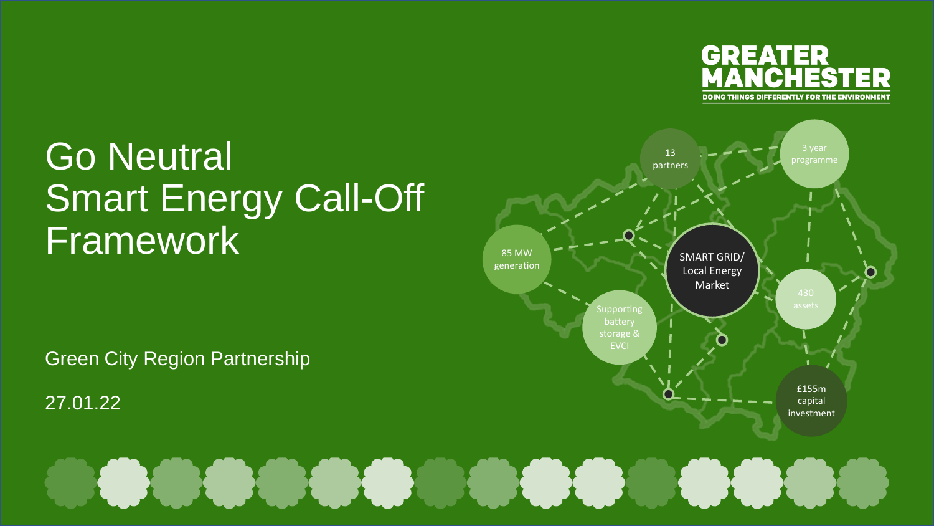

#### Go Neutral Smart Energy Call-Off Framework

Green City Region Partnership

27.01.22



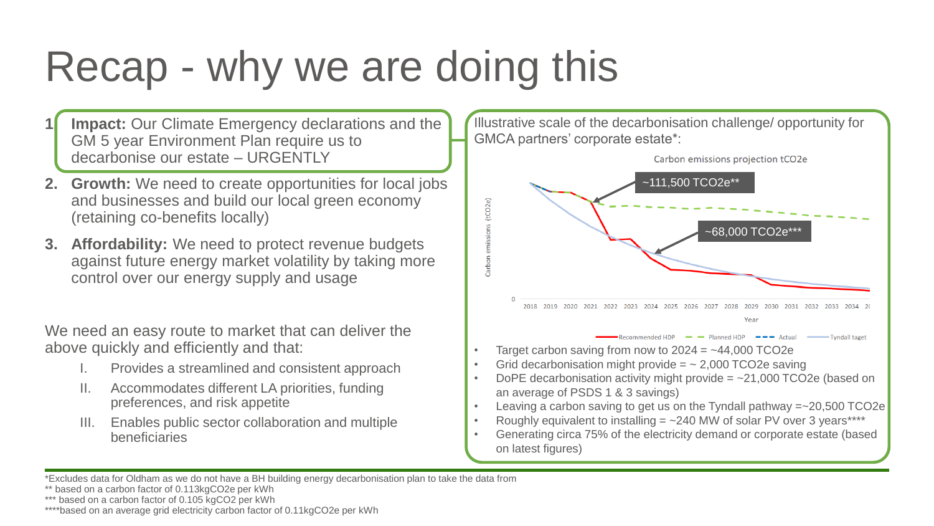# Recap - why we are doing this

- **Impact:** Our Climate Emergency declarations and the GM 5 year Environment Plan require us to decarbonise our estate – URGENTLY
- **2. Growth:** We need to create opportunities for local jobs and businesses and build our local green economy (retaining co-benefits locally)
- **3. Affordability:** We need to protect revenue budgets against future energy market volatility by taking more control over our energy supply and usage

We need an easy route to market that can deliver the above quickly and efficiently and that:

- I. Provides a streamlined and consistent approach
- II. Accommodates different LA priorities, funding preferences, and risk appetite
- III. Enables public sector collaboration and multiple beneficiaries

Illustrative scale of the decarbonisation challenge/ opportunity for GMCA partners' corporate estate\*:



- Target carbon saving from now to  $2024 = -44,000$  TCO2e
- Grid decarbonisation might provide  $=$   $\sim$  2,000 TCO2e saving
- DoPE decarbonisation activity might provide  $=$   $\sim$ 21,000 TCO2e (based on an average of PSDS 1 & 3 savings)
- Leaving a carbon saving to get us on the Tyndall pathway =~20,500 TCO2e
- Roughly equivalent to installing  $=$   $\sim$  240 MW of solar PV over 3 years\*\*\*\*
- Generating circa 75% of the electricity demand or corporate estate (based on latest figures)

<sup>\*</sup>Excludes data for Oldham as we do not have a BH building energy decarbonisation plan to take the data from

<sup>\*\*</sup> based on a carbon factor of 0.113kgCO2e per kWh

<sup>\*\*\*</sup> based on a carbon factor of 0.105 kgCO2 per kWh

<sup>\*\*\*\*</sup>based on an average grid electricity carbon factor of 0.11kgCO2e per kWh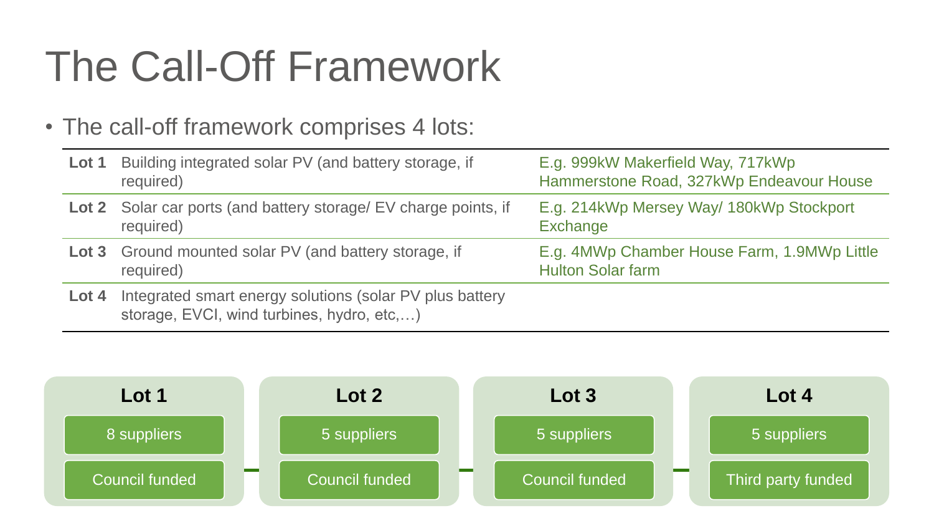# The Call-Off Framework

#### • The call-off framework comprises 4 lots:

| Lot 1 | Building integrated solar PV (and battery storage, if<br>required)                                     | E.g. 999kW Makerfield Way, 717kWp<br>Hammerstone Road, 327kWp Endeavour House |
|-------|--------------------------------------------------------------------------------------------------------|-------------------------------------------------------------------------------|
|       | Lot 2 Solar car ports (and battery storage/ EV charge points, if<br>required)                          | E.g. 214kWp Mersey Way/ 180kWp Stockport<br>Exchange                          |
|       | <b>Lot 3</b> Ground mounted solar PV (and battery storage, if<br>required)                             | E.g. 4MWp Chamber House Farm, 1.9MWp Little<br><b>Hulton Solar farm</b>       |
| Lot 4 | Integrated smart energy solutions (solar PV plus battery<br>storage, EVCI, wind turbines, hydro, etc,) |                                                                               |

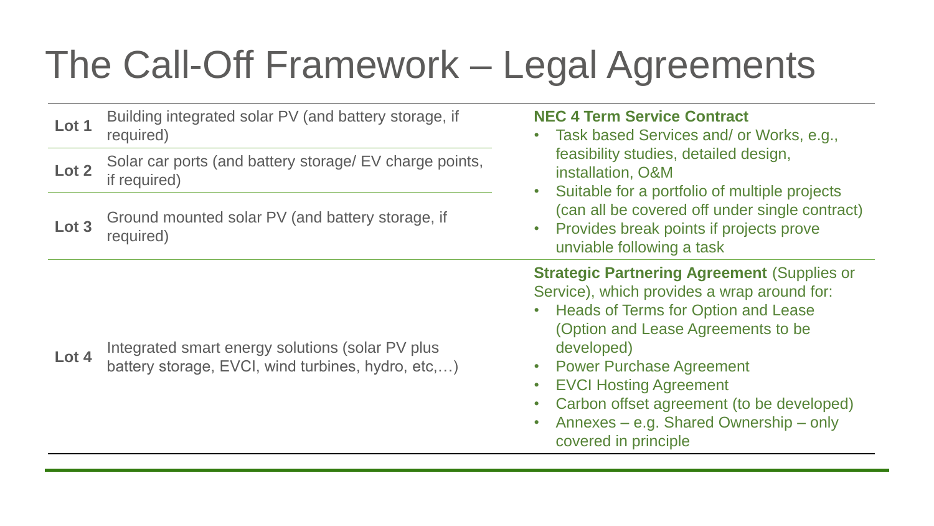## The Call-Off Framework – Legal Agreements

| Lot 1 | Building integrated solar PV (and battery storage, if<br>required)                                     | <b>NEC 4 Term Service Contract</b><br>Task based Services and/ or Works, e.g.,<br>$\bullet$                                                                                                                                                                                                                                                                                                                                                |  |
|-------|--------------------------------------------------------------------------------------------------------|--------------------------------------------------------------------------------------------------------------------------------------------------------------------------------------------------------------------------------------------------------------------------------------------------------------------------------------------------------------------------------------------------------------------------------------------|--|
| Lot 2 | Solar car ports (and battery storage/ EV charge points,<br>if required)                                | feasibility studies, detailed design,<br>installation, O&M<br>Suitable for a portfolio of multiple projects<br>$\bullet$<br>(can all be covered off under single contract)<br>Provides break points if projects prove<br>$\bullet$<br>unviable following a task                                                                                                                                                                            |  |
| Lot 3 | Ground mounted solar PV (and battery storage, if<br>required)                                          |                                                                                                                                                                                                                                                                                                                                                                                                                                            |  |
| Lot 4 | Integrated smart energy solutions (solar PV plus<br>battery storage, EVCI, wind turbines, hydro, etc,) | <b>Strategic Partnering Agreement (Supplies or</b><br>Service), which provides a wrap around for:<br><b>Heads of Terms for Option and Lease</b><br>$\bullet$<br>(Option and Lease Agreements to be<br>developed)<br><b>Power Purchase Agreement</b><br>$\bullet$<br><b>EVCI Hosting Agreement</b><br>$\bullet$<br>Carbon offset agreement (to be developed)<br>$\bullet$<br>Annexes – e.g. Shared Ownership – only<br>covered in principle |  |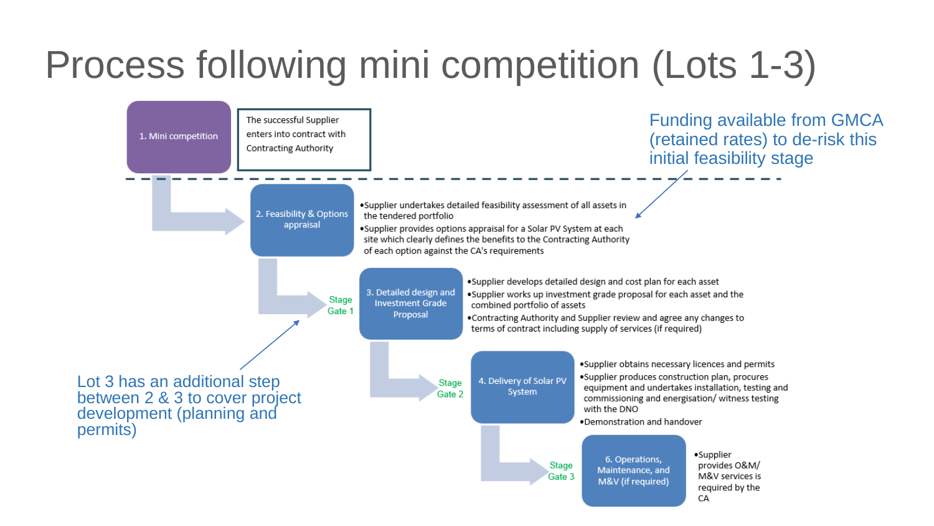## Process following mini competition (Lots 1-3)

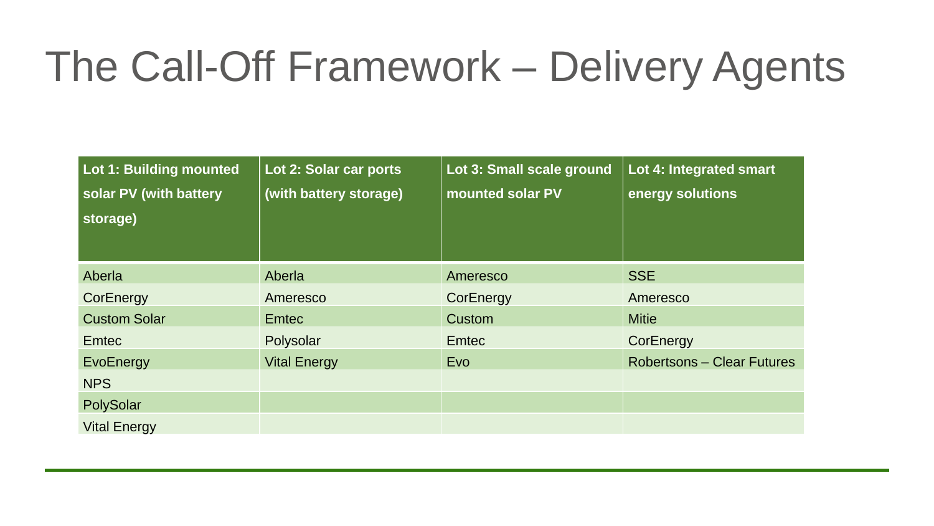## The Call-Off Framework – Delivery Agents

| Lot 1: Building mounted<br>solar PV (with battery<br>storage) | Lot 2: Solar car ports<br>(with battery storage) | Lot 3: Small scale ground<br>mounted solar PV | Lot 4: Integrated smart<br>energy solutions |
|---------------------------------------------------------------|--------------------------------------------------|-----------------------------------------------|---------------------------------------------|
| Aberla                                                        | Aberla                                           | Ameresco                                      | <b>SSE</b>                                  |
| CorEnergy                                                     | Ameresco                                         | CorEnergy                                     | Ameresco                                    |
| <b>Custom Solar</b>                                           | <b>Emtec</b>                                     | Custom                                        | <b>Mitie</b>                                |
| Emtec                                                         | Polysolar                                        | <b>Emtec</b>                                  | CorEnergy                                   |
| EvoEnergy                                                     | <b>Vital Energy</b>                              | Evo                                           | <b>Robertsons – Clear Futures</b>           |
| <b>NPS</b>                                                    |                                                  |                                               |                                             |
| PolySolar                                                     |                                                  |                                               |                                             |
| <b>Vital Energy</b>                                           |                                                  |                                               |                                             |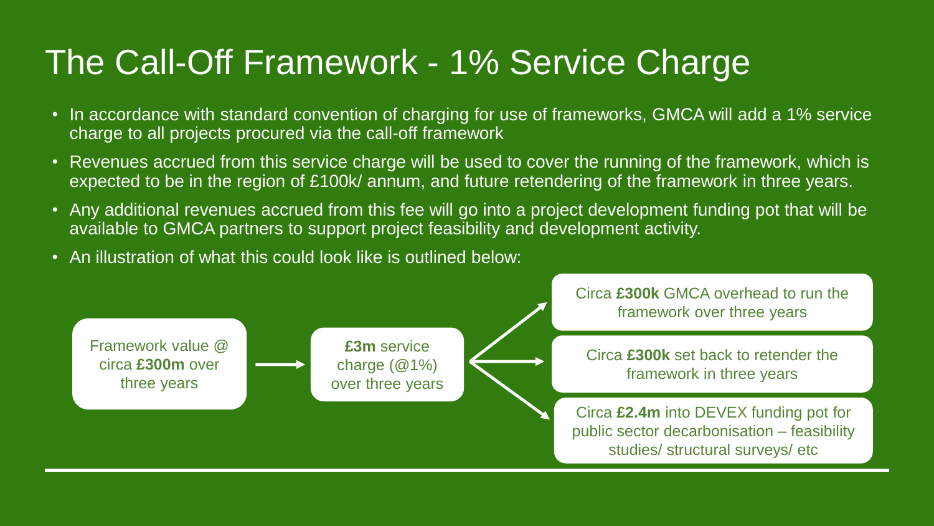#### The Call-Off Framework - 1% Service Charge

- In accordance with standard convention of charging for use of frameworks, GMCA will add a 1% service charge to all projects procured via the call-off framework
- Revenues accrued from this service charge will be used to cover the running of the framework, which is expected to be in the region of £100k/ annum, and future retendering of the framework in three years.
- Any additional revenues accrued from this fee will go into a project development funding pot that will be available to GMCA partners to support project feasibility and development activity.
- An illustration of what this could look like is outlined below:

Framework value @ circa **£300m** over three years **£3m** service charge (@1%) over three years Circa **£300k** GMCA overhead to run the framework over three years

Circa **£300k** set back to retender the framework in three years

Circa **£2.4m** into DEVEX funding pot for public sector decarbonisation – feasibility studies/ structural surveys/ etc